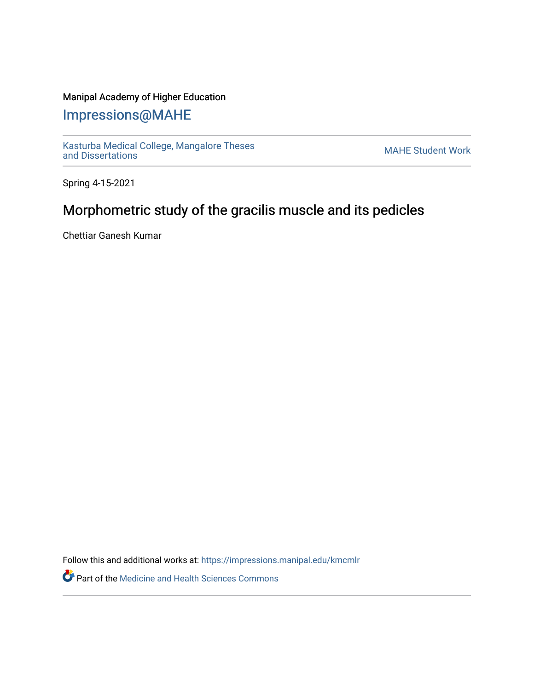## Manipal Academy of Higher Education

## [Impressions@MAHE](https://impressions.manipal.edu/)

[Kasturba Medical College, Mangalore Theses](https://impressions.manipal.edu/kmcmlr) Kasturba Medical College, Mangalore Theses<br>[and Dissertations](https://impressions.manipal.edu/kmcmlr) MAHE Student Work

Spring 4-15-2021

## Morphometric study of the gracilis muscle and its pedicles

Chettiar Ganesh Kumar

Follow this and additional works at: [https://impressions.manipal.edu/kmcmlr](https://impressions.manipal.edu/kmcmlr?utm_source=impressions.manipal.edu%2Fkmcmlr%2F19&utm_medium=PDF&utm_campaign=PDFCoverPages) 

**Part of the Medicine and Health Sciences Commons**